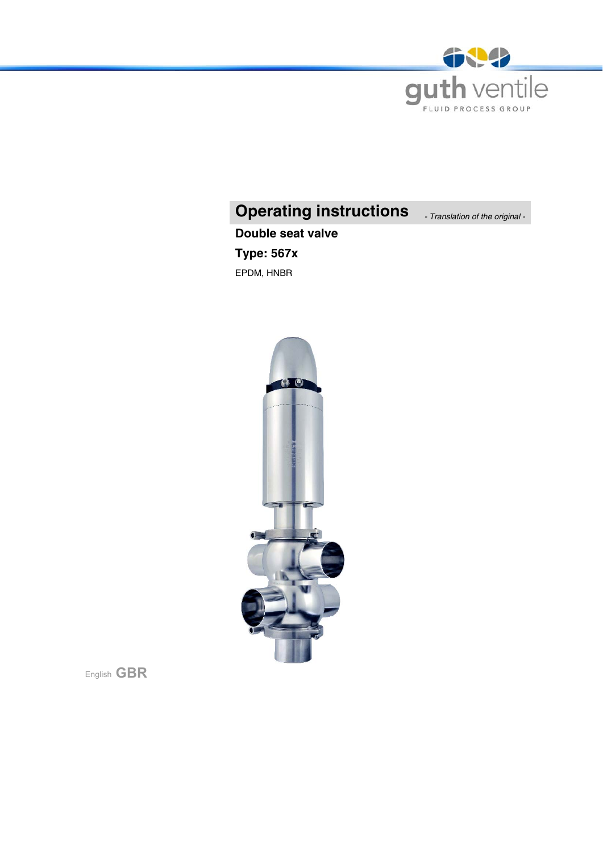

# **Operating instructions** *- Translation of the original -*

# **Double seat valve Type: 567x**

EPDM, HNBR



English **GBR**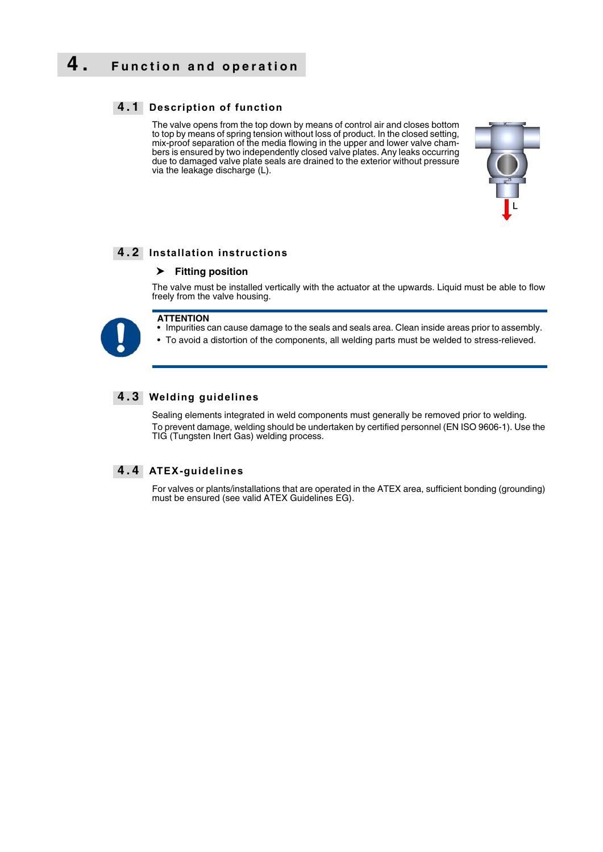### **4. Function and operation**

#### **4 . 1 Description of function**

The valve opens from the top down by means of control air and closes bottom to top by means of spring tension without loss of product. In the closed setting, mix-proof separation of the media flowing in the upper and lower valve chambers is ensured by two independently closed valve plates. Any leaks occurring due to damaged valve plate seals are drained to the exterior without pressure via the leakage discharge (L).



#### **4 . 2 Installation instructions**

#### **Fitting position**

The valve must be installed vertically with the actuator at the upwards. Liquid must be able to flow freely from the valve housing.



#### **ATTENTION**

• Impurities can cause damage to the seals and seals area. Clean inside areas prior to assembly.

• To avoid a distortion of the components, all welding parts must be welded to stress-relieved.

#### **4 . 3 Welding guidelines**

Sealing elements integrated in weld components must generally be removed prior to welding. To prevent damage, welding should be undertaken by certified personnel (EN ISO 9606-1). Use the TIG (Tungsten Inert Gas) welding process.

#### **4 . 4 ATEX-guidelines**

For valves or plants/installations that are operated in the ATEX area, sufficient bonding (grounding) must be ensured (see valid ATEX Guidelines EG).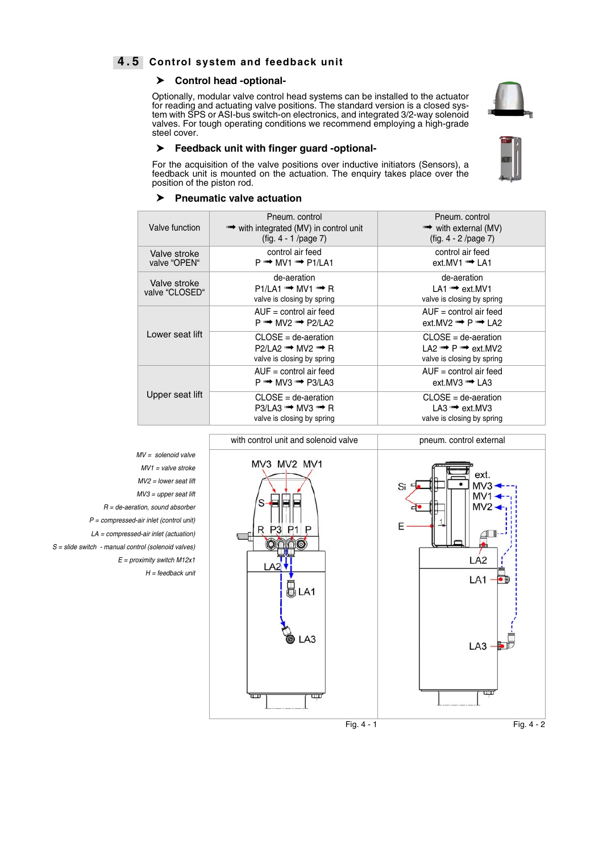#### **4 . 5 Control system and feedback unit**

#### **Control head -optional-**

Optionally, modular valve control head systems can be installed to the actuator for reading and actuating valve positions. The standard version is a closed system with SPS or ASI-bus switch-on electronics, and integrated 3/2-way solenoid valves. For tough operating conditions we recommend employing a high-grade steel cover.

#### **Feedback unit with finger guard -optional-**

For the acquisition of the valve positions over inductive initiators (Sensors), a feedback unit is mounted on the actuation. The enquiry takes place over the position of the piston rod.

#### **Pneumatic valve actuation**

| Pneum. control                              | Pneum. control                             |
|---------------------------------------------|--------------------------------------------|
| "→ with integrated (MV) in control unit     | $\rightarrow$ with external (MV)           |
| $(fig. 4 - 1 / page 7)$                     | $fig. 4 - 2 /page 7)$                      |
| control air feed                            | control air feed                           |
| $P \rightarrow MVI \rightarrow P1/LA1$      | $ext.MV1 \rightarrow LA1$                  |
| de-aeration                                 | de-aeration                                |
| $P1/l A1 \rightarrow MVI \rightarrow R$     | LA1 <sup>"→</sup> ext.MV1                  |
| valve is closing by spring                  | valve is closing by spring                 |
| $AUF = control air feed$                    | $AUF = control air feed$                   |
| $P \rightarrow M V 2 \rightarrow P 2/L A 2$ | ext.MV2 $\Rightarrow$ P $\Rightarrow$ LA2  |
| $CLOSE = de-aeration$                       | $CLOSE = de-aeration$                      |
| $P2/1 A2 \rightarrow M1/2 \rightarrow R$    | LA2 $\rightarrow$ P $\rightarrow$ ext. MV2 |
| valve is closing by spring                  | valve is closing by spring                 |
| $AUF = control air feed$                    | $AUF = control air feed$                   |
| $P \rightarrow MVS \rightarrow P3/LA3$      | ext.MV3 · LA3                              |
| $CLOSE = de-aeration$                       | $CLOSE = de-aeration$                      |
| $P3/LA3 \rightarrow MVS \rightarrow R$      | LA3 $\rightarrow$ ext. MV3                 |
| valve is closing by spring                  | valve is closing by spring                 |
|                                             |                                            |

<span id="page-2-1"></span><span id="page-2-0"></span>

*MV = solenoid valve MV1 = valve stroke MV2 = lower seat lift MV3 = upper seat lift R = de-aeration, sound absorber P = compressed-air inlet (control unit) LA = compressed-air inlet (actuation) S = slide switch - manual control (solenoid valves) E = proximity switch M12x1 H = feedback unit*

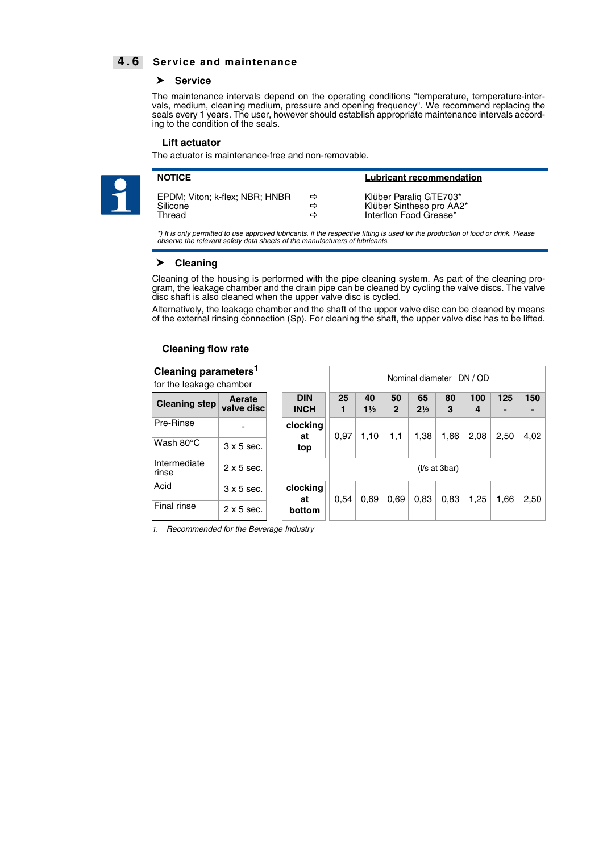#### **4 . 6 Service and maintenance**

#### **Service**

The maintenance intervals depend on the operating conditions "temperature, temperature-intervals, medium, cleaning medium, pressure and opening frequency". We recommend replacing the seals every 1 years. The user, however should establish appropriate maintenance intervals according to the condition of the seals.

#### **Lift actuator**

The actuator is maintenance-free and non-removable.



| <b>NOTICE</b>                  |   | <b>Lubricant recommendation</b> |
|--------------------------------|---|---------------------------------|
| EPDM; Viton; k-flex; NBR; HNBR | ⇨ | Klüber Paralig GTE703*          |
| Silicone                       | ⇨ | Klüber Sintheso pro AA2*        |
| Thread                         | ⇨ | Interflon Food Grease*          |

*\*) It is only permitted to use approved lubricants, if the respective fitting is used for the production of food or drink. Please observe the relevant safety data sheets of the manufacturers of lubricants.*

#### **Cleaning**

Cleaning of the housing is performed with the pipe cleaning system. As part of the cleaning program, the leakage chamber and the drain pipe can be cleaned by cycling the valve discs. The valve disc shaft is also cleaned when the upper valve disc is cycled.

Alternatively, the leakage chamber and the shaft of the upper valve disc can be cleaned by means of the external rinsing connection (Sp). For cleaning the shaft, the upper valve disc has to be lifted.

Nominal diameter DN / OD

#### **Cleaning flow rate**

#### **Cleaning parameters1**

for the leakage chamber

| TOT THE IBANAGE UTAITING. |                      |                           |      |                      |                    |                      |               |          |      |      |
|---------------------------|----------------------|---------------------------|------|----------------------|--------------------|----------------------|---------------|----------|------|------|
| <b>Cleaning step</b>      | Aerate<br>valve disc | <b>DIN</b><br><b>INCH</b> | 25   | 40<br>$1\frac{1}{2}$ | 50<br>$\mathbf{2}$ | 65<br>$2\frac{1}{2}$ | 80<br>3       | 100<br>4 | 125  | 150  |
| Pre-Rinse                 |                      | clocking<br>at            | 0,97 | 1,10                 | 1,1                | 1,38                 | 1,66          | 2,08     | 2,50 | 4,02 |
| Wash $80^{\circ}$ C       | $3 \times 5$ sec.    | top                       |      |                      |                    |                      |               |          |      |      |
| Intermediate<br>rinse     | $2 \times 5$ sec.    |                           |      |                      |                    |                      | (1/s at 3bar) |          |      |      |
| Acid                      | $3 \times 5$ sec.    | clocking<br>at            | 0.54 | 0.69                 | 0.69               | 0,83                 | 0.83          | 1,25     | 1,66 | 2,50 |
| Final rinse               | $2 \times 5$ sec.    | bottom                    |      |                      |                    |                      |               |          |      |      |

*1. Recommended for the Beverage Industry*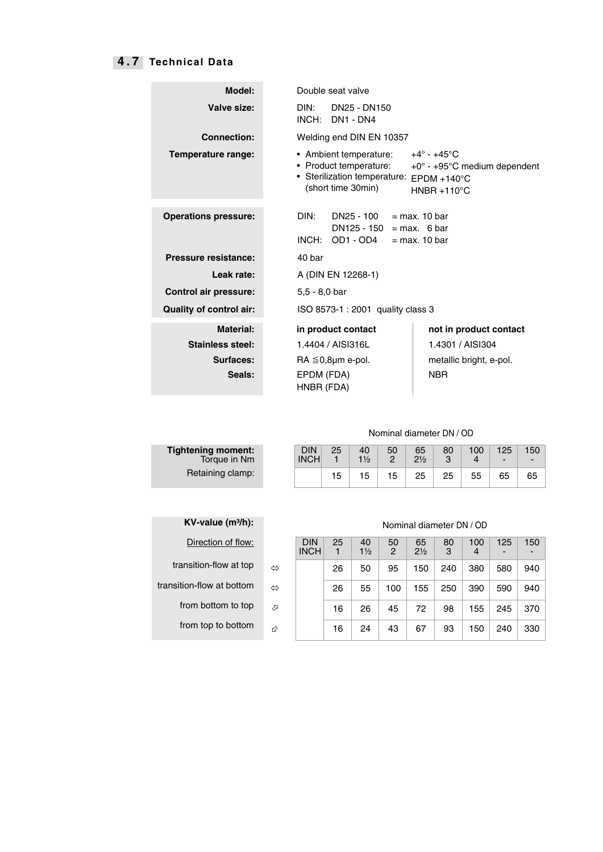### **4 . 7 Technical Data**

| Model:                         | Double seat valve                                                                                      |                                                                                                                                |  |  |  |  |
|--------------------------------|--------------------------------------------------------------------------------------------------------|--------------------------------------------------------------------------------------------------------------------------------|--|--|--|--|
| Valve size:                    | DIN:<br>DN25 - DN150<br>INCH:<br>DN1 - DN4                                                             |                                                                                                                                |  |  |  |  |
| <b>Connection:</b>             | Welding end DIN EN 10357                                                                               |                                                                                                                                |  |  |  |  |
| Temperature range:             | • Ambient temperature:<br>• Product temperature:<br>• Sterilization temperature:<br>(short time 30min) | $+4^\circ$ - $+45^\circ$ C<br>$+0^{\circ}$ - +95 $\circ$ C medium dependent<br>$F PDM + 140^{\circ}C$<br>$HNBR + 110^{\circ}C$ |  |  |  |  |
| <b>Operations pressure:</b>    | DIN:<br>DN25 - 100<br>$DN125 - 150 = max.$ 6 bar<br>INCH:<br>OD1 - OD4                                 | $=$ max. 10 bar<br>$=$ max. 10 bar                                                                                             |  |  |  |  |
| Pressure resistance:           | 40 bar                                                                                                 |                                                                                                                                |  |  |  |  |
| Leak rate:                     | A (DIN EN 12268-1)                                                                                     |                                                                                                                                |  |  |  |  |
| <b>Control air pressure:</b>   | $5.5 - 8.0$ bar                                                                                        |                                                                                                                                |  |  |  |  |
| <b>Quality of control air:</b> | ISO 8573-1 : 2001 quality class 3                                                                      |                                                                                                                                |  |  |  |  |
| Material:                      | in product contact                                                                                     | not in product contact                                                                                                         |  |  |  |  |
| Stainless steel:               | 1.4404 / AISI316L                                                                                      | 1.4301 / AISI304                                                                                                               |  |  |  |  |
| Surfaces:                      | $RA \leq 0.8$ µm e-pol.                                                                                | metallic bright, e-pol.                                                                                                        |  |  |  |  |
| Seals:                         | EPDM (FDA)<br>HNBR (FDA)                                                                               | <b>NBR</b>                                                                                                                     |  |  |  |  |

#### Nominal diameter DN / OD

| tening moment:<br>Torque in Nm | DIN<br><b>INCH</b> | 25 | 40<br>$1\frac{1}{2}$ | 50 | 65<br>$2\frac{1}{2}$ | 80 | 100 | 125<br>$\overline{\phantom{0}}$ | ا 150 |
|--------------------------------|--------------------|----|----------------------|----|----------------------|----|-----|---------------------------------|-------|
| Retaining clamp:               |                    | 15 | 15                   | 15 | 25                   | 25 | 55  | 65                              | 65    |

| <b>Tightening moment:</b><br>Torque in Nm |  |
|-------------------------------------------|--|
| Retaining clamp:                          |  |

| $KV$ -value $(m^3/h)$ :  |   |                    |
|--------------------------|---|--------------------|
| Direction of flow:       |   | DIN<br><b>INCH</b> |
| transition-flow at top   | ⇔ |                    |
| ransition-flow at bottom | ⇒ |                    |
| from bottom to top       | ↗ |                    |
| from top to bottom       |   |                    |

#### **Nominal diameter DN / OD**

| Direction of flow:        |    | <b>DIN</b><br><b>INCH</b> | 25 | 40<br>$1\frac{1}{2}$ | 50<br>2 | 65<br>$2\frac{1}{2}$ | 80<br>3 | 100<br>4 | 125<br>- | 150 |
|---------------------------|----|---------------------------|----|----------------------|---------|----------------------|---------|----------|----------|-----|
| transition-flow at top    | ⇔  |                           | 26 | 50                   | 95      | 150                  | 240     | 380      | 580      | 940 |
| transition-flow at bottom | ⇔  |                           | 26 | 55                   | 100     | 155                  | 250     | 390      | 590      | 940 |
| from bottom to top        | ⇗  |                           | 16 | 26                   | 45      | 72                   | 98      | 155      | 245      | 370 |
| from top to bottom        | r2 |                           | 16 | 24                   | 43      | 67                   | 93      | 50       | 240      | 330 |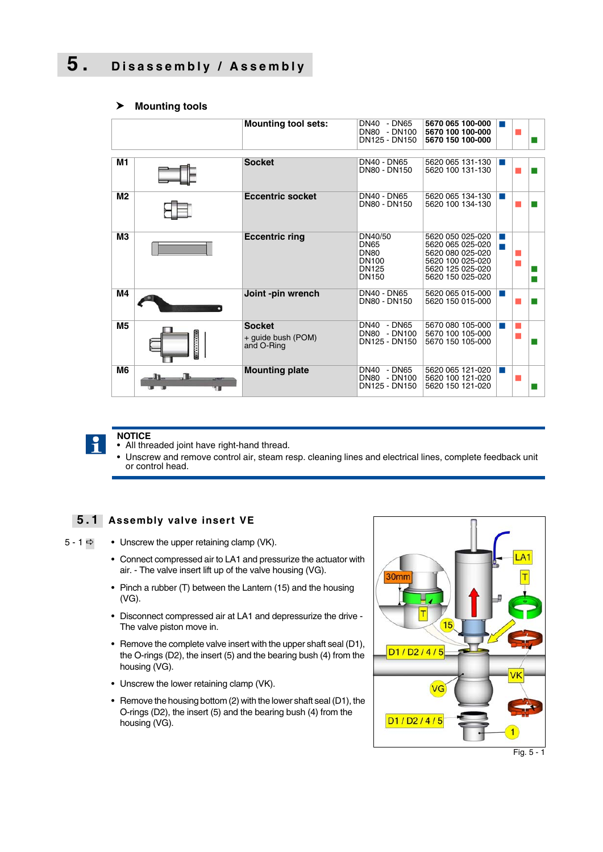## **5. Disassembly / Assembly**

#### **Mounting tool sets:** DN40 - DN65<br>DN80 - DN100 DN125 - DN150 **5670 065 100-000 5670 100 100-000 5670 150 100-000** J.  $\mathbb{R}^2$ ш **M1 Socket DN40 - DN65**<br>DN80 - DN150 5620 065 131-130 5620 100 131-130 J. П **M2 Eccentric socket** DN40 - DN65 DN80 - DN150 5620 065 134-130 5620 100 134-130 п m, **M3 Eccentric ring** DN40/50 DN<sub>65</sub> DN<sub>80</sub> DN100 DN125 DN150 5620 050 025-020 5620 065 025-020 5620 080 025-020 5620 100 025-020 5620 125 025-020 5620 150 025-020 т J.  $\mathbb{R}^2$  $\mathcal{L}_{\mathcal{A}}$ П m. **M4 Joint -pin wrench** DN40 - DN65 DN80 - DN150 5620 065 015-000 5620 150 015-000 × m.  **M5 Socket** + guide bush (POM) and O-Ring DN40 - DN65 DN80 - DN100 DN125 - DN150 5670 080 105-000 5670 100 105-000 5670 150 105-000 a a shekara П m. **M6 Mounting plate DN40 - DN65** DN80 - DN100 DN125 - DN150 5620 065 121-020 5620 100 121-020 5620 150 121-020 **CO** п m,

#### **Mounting tools**



#### **NOTICE**

- All threaded joint have right-hand thread.
- Unscrew and remove control air, steam resp. cleaning lines and electrical lines, complete feedback unit or control head.

#### **5 . 1 Assembly valve insert VE**

- 5 1  $\Rightarrow$  Unscrew the upper retaining clamp (VK).
	- Connect compressed air to LA1 and pressurize the actuator with air. - The valve insert lift up of the valve housing (VG).
	- Pinch a rubber (T) between the Lantern (15) and the housing (VG).
	- Disconnect compressed air at LA1 and depressurize the drive The valve piston move in.
	- Remove the complete valve insert with the upper shaft seal (D1), the O-rings (D2), the insert (5) and the bearing bush (4) from the housing (VG).
	- Unscrew the lower retaining clamp (VK).
	- Remove the housing bottom (2) with the lower shaft seal (D1), the O-rings (D2), the insert (5) and the bearing bush (4) from the housing (VG).

<span id="page-5-0"></span>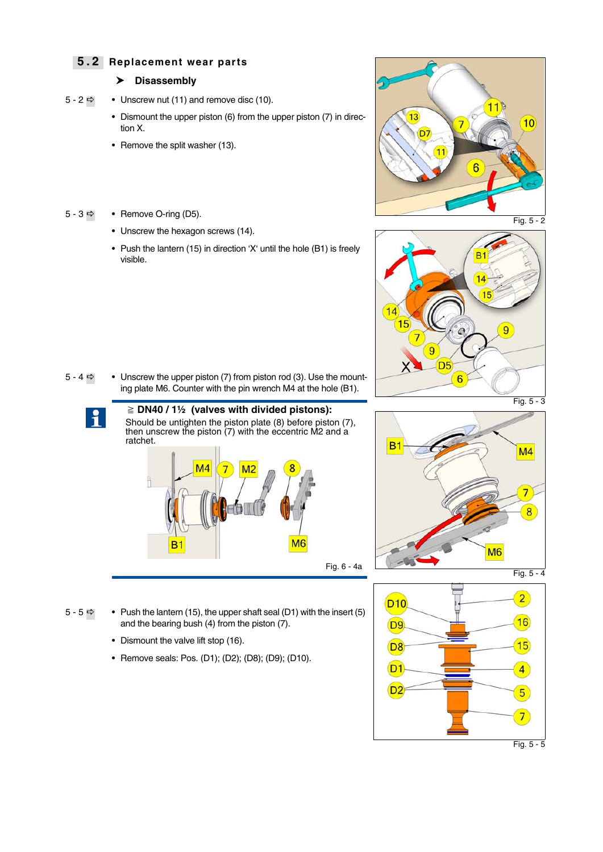#### **5 . 2 Replacement wear parts**

#### **Disassembly**

- $5 2 \implies$  $5 2 \implies$  Unscrew nut (11) and remove disc (10).
	- Dismount the upper piston (6) from the upper piston (7) in direction X.
	- Remove the split washer (13).

#### $5 - 3 \implies$  $5 - 3 \implies$  • Remove O-ring (D5).

- Unscrew the hexagon screws (14).
- Push the lantern (15) in direction 'X' until the hole (B1) is freely visible.



<span id="page-6-0"></span>

[5 - 4](#page-6-2)  $\Rightarrow$  • Unscrew the upper piston (7) from piston rod (3). Use the mounting plate M6. Counter with the pin wrench M4 at the hole (B1).



 **DN40 / 1½ (valves with divided pistons):** Should be untighten the piston plate (8) before piston (7), then unscrew the piston  $(7)$  with the eccentric M2 and a ratchet.



<span id="page-6-1"></span>

- $5 5 \implies$  $5 5 \implies$  Push the lantern (15), the upper shaft seal (D1) with the insert (5) and the bearing bush (4) from the piston (7).
	- Dismount the valve lift stop (16).
	- Remove seals: Pos. (D1); (D2); (D8); (D9); (D10).

<span id="page-6-3"></span><span id="page-6-2"></span>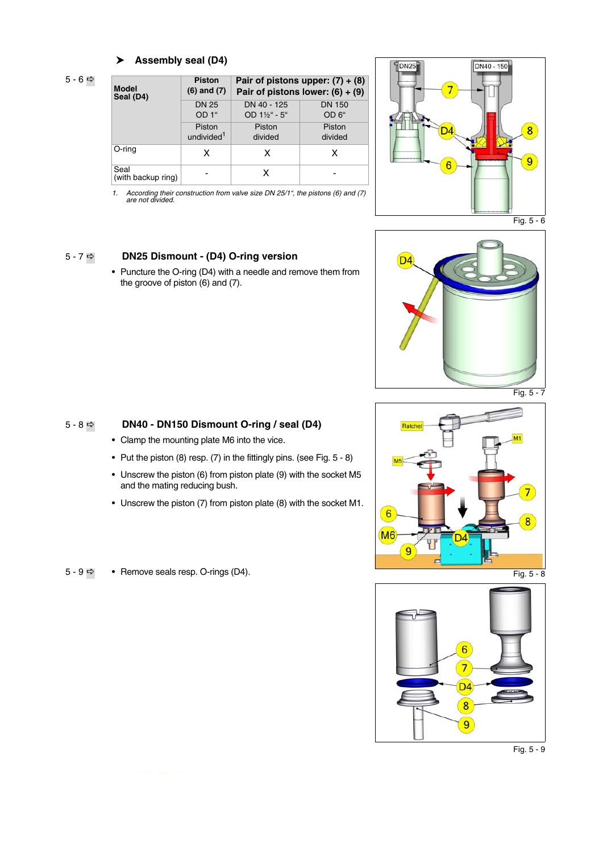#### **Assembly seal (D4)**

 $5 - 6 \Rightarrow$  $5 - 6 \Rightarrow$ 

| <b>Model</b>               | <b>Piston</b>          | Pair of pistons upper: $(7) + (8)$ |                   |  |  |  |
|----------------------------|------------------------|------------------------------------|-------------------|--|--|--|
| Seal (D4)                  | $(6)$ and $(7)$        | Pair of pistons lower: $(6) + (9)$ |                   |  |  |  |
|                            | <b>DN 25</b>           | DN 40 - 125                        | <b>DN 150</b>     |  |  |  |
|                            | OD 1"                  | OD $1\frac{1}{2}$ " - 5"           | OD <sub>6</sub> " |  |  |  |
|                            | Piston                 | Piston                             | Piston            |  |  |  |
|                            | undivided <sup>1</sup> | divided                            | divided           |  |  |  |
| O-ring                     | x                      | x                                  | x                 |  |  |  |
| Seal<br>(with backup ring) |                        | x                                  |                   |  |  |  |

*1. According their construction from valve size DN 25/1", the pistons (6) and (7) are not divided.*



#### [5 - 7](#page-7-1)  **DN25 Dismount - (D4) O-ring version**

• Puncture the O-ring (D4) with a needle and remove them from the groove of piston (6) and (7).

<span id="page-7-0"></span>

#### [5 - 8](#page-7-2)  **DN40 - DN150 Dismount O-ring / seal (D4)**

- Clamp the mounting plate M6 into the vice.
- Put the piston (8) resp. (7) in the fittingly pins. (see [Fig. 5 8\)](#page-7-2)
- Unscrew the piston (6) from piston plate (9) with the socket M5 and the mating reducing bush.
- Unscrew the piston (7) from piston plate (8) with the socket M1.
- $5 9 \Rightarrow$  $5 9 \Rightarrow$  Remove seals resp. O-rings (D4).

<span id="page-7-1"></span>

<span id="page-7-3"></span><span id="page-7-2"></span>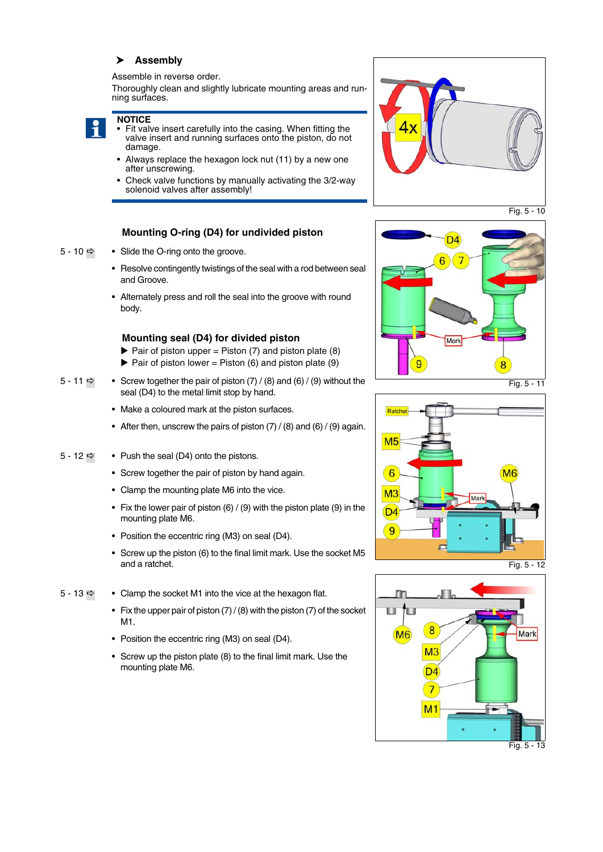#### **Assembly**

Assemble in reverse order.

Thoroughly clean and slightly lubricate mounting areas and running surfaces.



- **NOTICE** • Fit valve insert carefully into the casing. When fitting the valve insert and running surfaces onto the piston, do not damage.
- Always replace the hexagon lock nut (11) by a new one after unscrewing.
- Check valve functions by manually activating the 3/2-way solenoid valves after assembly!

#### **Mounting O-ring (D4) for undivided piston**

- $5 10 \Rightarrow$  $5 10 \Rightarrow$  Slide the O-ring onto the groove.
	- Resolve contingently twistings of the seal with a rod between seal and Groove.
	- Alternately press and roll the seal into the groove with round body.

#### **Mounting seal (D4) for divided piston**

- $\triangleright$  Pair of piston upper = Piston (7) and piston plate (8)  $\blacktriangleright$  Pair of piston lower = Piston (6) and piston plate (9)
- [5 11](#page-8-1)  $\Rightarrow$  Screw together the pair of piston (7) / (8) and (6) / (9) without the seal (D4) to the metal limit stop by hand.
	- Make a coloured mark at the piston surfaces.
	- After then, unscrew the pairs of piston  $(7) / (8)$  and  $(6) / (9)$  again.
- [5 12](#page-8-2)  $\Rightarrow$  Push the seal (D4) onto the pistons.
	- Screw together the pair of piston by hand again.
	- Clamp the mounting plate M6 into the vice.
	- Fix the lower pair of piston (6) / (9) with the piston plate (9) in the mounting plate M6.
	- Position the eccentric ring (M3) on seal (D4).
	- Screw up the piston (6) to the final limit mark. Use the socket M5 and a ratchet.
- [5 13](#page-8-3)  $\Rightarrow$  Clamp the socket M1 into the vice at the hexagon flat.
	- Fix the upper pair of piston  $(7)$  /  $(8)$  with the piston  $(7)$  of the socket M1.
	- Position the eccentric ring (M3) on seal (D4).
	- Screw up the piston plate (8) to the final limit mark. Use the mounting plate M6.



Fig. 5 - 10

<span id="page-8-0"></span>

Fig. 5 - 11

<span id="page-8-1"></span>



<span id="page-8-3"></span><span id="page-8-2"></span>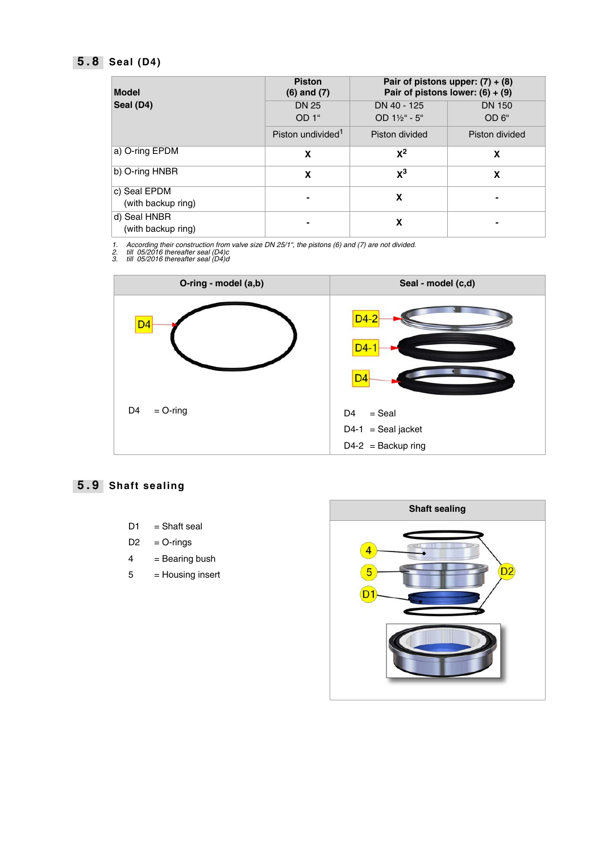### **5 . 8 Seal (D4)**

| <b>Model</b>                       | <b>Piston</b><br>$(6)$ and $(7)$ |                                         | Pair of pistons upper: $(7) + (8)$<br>Pair of pistons lower: $(6) + (9)$ |
|------------------------------------|----------------------------------|-----------------------------------------|--------------------------------------------------------------------------|
| Seal (D4)                          | <b>DN 25</b><br>OD <sub>1"</sub> | DN 40 - 125<br>$OD 1\frac{1}{2}$ " - 5" | <b>DN 150</b><br>OD <sub>6</sub> "                                       |
|                                    | Piston undivided <sup>1</sup>    | Piston divided                          | Piston divided                                                           |
| a) O-ring EPDM                     | X                                | $X^2$                                   | X                                                                        |
| b) O-ring HNBR                     | X                                | $\mathsf{X}^3$                          | X                                                                        |
| c) Seal EPDM<br>(with backup ring) |                                  | X                                       |                                                                          |
| d) Seal HNBR<br>(with backup ring) |                                  | X                                       |                                                                          |

*1. According their construction from valve size DN 25/1", the pistons (6) and (7) are not divided. 2. till 05/2016 thereafter seal (D4)c 3. till 05/2016 thereafter seal (D4)d*



### **5 . 9 Shaft sealing**

- $D1 = Shaft$  seal
- $D2 = O-rings$
- $4 =$  Bearing bush
- 5 = Housing insert

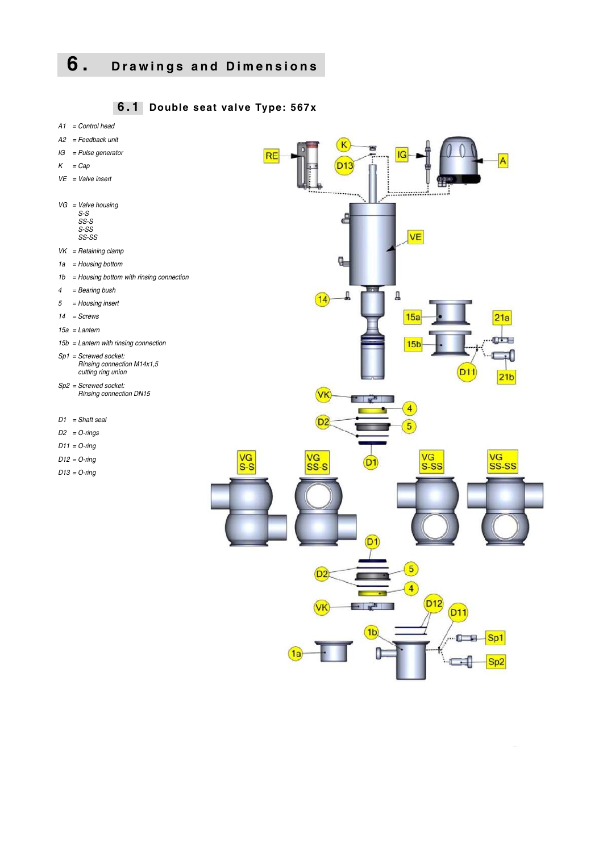# **6. Drawings and Dimensions**

 **6 . 1 Double seat valve Type: 567x**



 $\mathcal{F}_{\mathcal{A}}$  - 10  $\mathcal{F}_{\mathcal{A}}$  - 10  $\mathcal{F}_{\mathcal{A}}$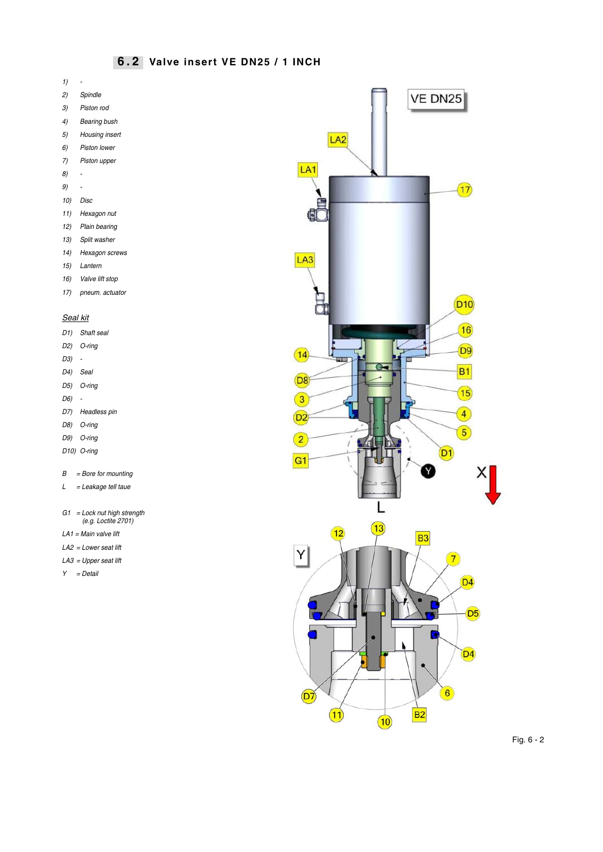### **6 . 2 Valve insert VE DN25 / 1 INCH**

- *1) -*
- *2) Spindle*
- *3) Piston rod*
- *4) Bearing bush*
- *5) Housing insert*
- *6) Piston lower*
- *7) Piston upper*
- *8) -*
- *9) -*
- *10) Disc*
- *11) Hexagon nut*
- *12) Plain bearing*
- *13) Split washer*
- *14) Hexagon screws*
- *15) Lantern*
- *16) Valve lift stop*
- *17) pneum. actuator*

#### *Seal kit*

|                       | D1) Shaft seal           |
|-----------------------|--------------------------|
|                       | D <sub>2</sub> ) O-ring  |
| D3)<br>$\sim$         |                          |
| D <sub>4</sub> ) Seal |                          |
|                       | D5) O-ring               |
| D6) -                 |                          |
|                       | D7) Headless pin         |
|                       | D8) O-ring               |
|                       | D9) O-ring               |
|                       | D <sub>10</sub> ) O-ring |
|                       |                          |

- *B = Bore for mounting*
- *L = Leakage tell taue*
- *G1 = Lock nut high strength (e.g. Loctite 2701)*
- *LA1 = Main valve lift*
- *LA2 = Lower seat lift*
- *LA3 = Upper seat lift*
- *Y = Detail*



Fig. 6 - 2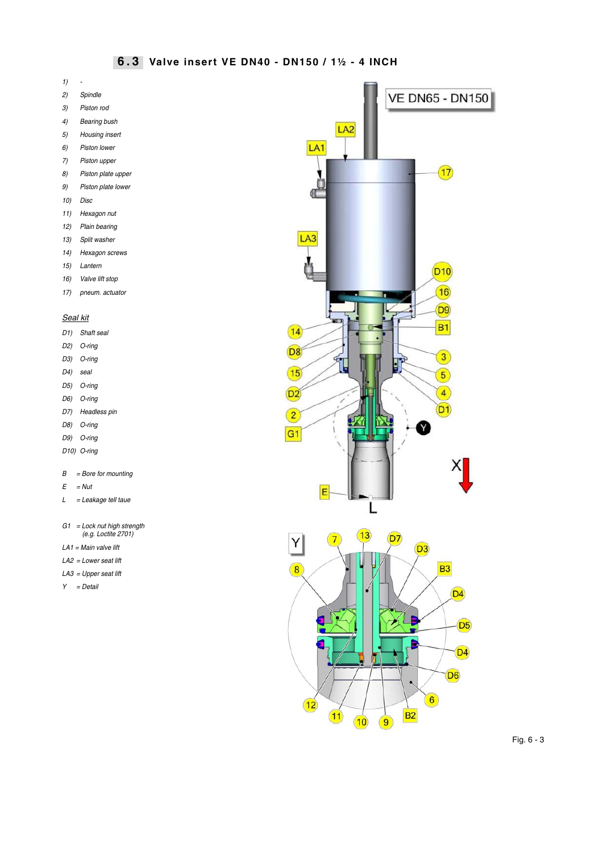#### **6 . 3 Valve insert VE DN40 - DN150 / 1½ - 4 INCH**

- *1) -*
- *2) Spindle*
- *3) Piston rod*
- *4) Bearing bush*
- *5) Housing insert*
- *6) Piston lower*
- *7) Piston upper*
- *8) Piston plate upper*
- *9) Piston plate lower*
- *10) Disc*
- *11) Hexagon nut*
- *12) Plain bearing*
- *13) Split washer*
- *14) Hexagon screws*
- *15) Lantern*
- *16) Valve lift stop*
- *17) pneum. actuator*

#### *Seal kit*

| D1) | Shaft seal            |
|-----|-----------------------|
| D2) | $O$ -ring             |
|     | D3) O-ring            |
|     | D <sub>4</sub> ) seal |
|     | D5) O-ring            |
|     | D6) O-ring            |
|     | D7) Headless pin      |
|     |                       |

- *D8) O-ring*
- *D9) O-ring*
- *D10) O-ring*
- *B = Bore for mounting*
- *E = Nut*
- *L = Leakage tell taue*
- *G1 = Lock nut high strength (e.g. Loctite 2701)*
- *LA1 = Main valve lift*
- *LA2 = Lower seat lift*
- *LA3 = Upper seat lift*
- *Y = Detail*



 $B<sub>2</sub>$ 

 $(12)$ 

 $(11)$ 

 $(10)$ 

 $\circled{9}$ 

Fig. 6 - 3